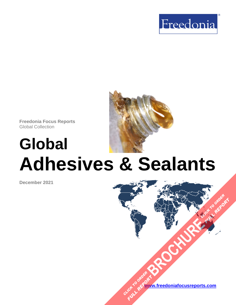



# **Global Adhesives & Sealants**

**December 2021**

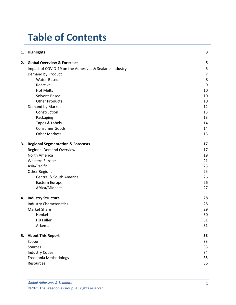# **Table of Contents**

|    | 1. Highlights                                           | 3              |
|----|---------------------------------------------------------|----------------|
| 2. | <b>Global Overview &amp; Forecasts</b>                  | 5              |
|    | Impact of COVID-19 on the Adhesives & Sealants Industry | 5              |
|    | Demand by Product                                       | $\overline{7}$ |
|    | Water-Based                                             | 8              |
|    | Reactive                                                | 9              |
|    | <b>Hot Melts</b>                                        | 10             |
|    | Solvent-Based                                           | 10             |
|    | <b>Other Products</b>                                   | 10             |
|    | Demand by Market                                        | 12             |
|    | Construction                                            | 13             |
|    | Packaging                                               | 13             |
|    | Tapes & Labels                                          | 14             |
|    | <b>Consumer Goods</b>                                   | 14             |
|    | <b>Other Markets</b>                                    | 15             |
| 3. | <b>Regional Segmentation &amp; Forecasts</b>            | 17             |
|    | <b>Regional Demand Overview</b>                         | 17             |
|    | North America                                           | 19             |
|    | Western Europe                                          | 21             |
|    | Asia/Pacific                                            | 23             |
|    | <b>Other Regions</b>                                    | 25             |
|    | Central & South America                                 | 26             |
|    | Eastern Europe                                          | 26             |
|    | Africa/Mideast                                          | 27             |
|    | 4. Industry Structure                                   | 28             |
|    | <b>Industry Characteristics</b>                         | 28             |
|    | Market Share                                            | 29             |
|    | Henkel                                                  | 30             |
|    | <b>HB Fuller</b>                                        | 31             |
|    | Arkema                                                  | 31             |
|    | 5. About This Report                                    | 33             |
|    | Scope                                                   | 33             |
|    | Sources                                                 | 33             |
|    | <b>Industry Codes</b>                                   | 34             |
|    | Freedonia Methodology                                   | 35             |
|    | Resources                                               | 36             |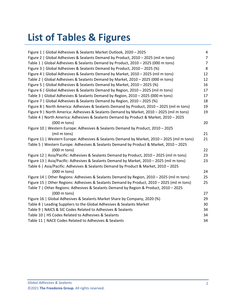# **List of Tables & Figures**

| Figure 1   Global Adhesives & Sealants Market Outlook, 2020 - 2025                          | 4              |
|---------------------------------------------------------------------------------------------|----------------|
| Figure 2   Global Adhesives & Sealants Demand by Product, 2010 - 2025 (mil m tons)          | $\overline{7}$ |
| Table 1   Global Adhesives & Sealants Demand by Product, 2010 - 2025 (000 m tons)           | $\overline{7}$ |
| Figure 3   Global Adhesives & Sealants Demand by Product, 2010 - 2025 (%)                   | 8              |
| Figure 4   Global Adhesives & Sealants Demand by Market, 2010 - 2025 (mil m tons)           | 12             |
| Table 2   Global Adhesives & Sealants Demand by Market, 2010 - 2025 (000 m tons)            | 12             |
| Figure 5   Global Adhesives & Sealants Demand by Market, 2010 - 2025 (%)                    | 16             |
| Figure 6   Global Adhesives & Sealants Demand by Region, 2010 - 2025 (mil m tons)           | 17             |
| Table 3   Global Adhesives & Sealants Demand by Region, 2010 - 2025 (000 m tons)            | 17             |
| Figure 7   Global Adhesives & Sealants Demand by Region, 2010 - 2025 (%)                    | 18             |
| Figure 8   North America: Adhesives & Sealants Demand by Product, 2010 - 2025 (mil m tons)  | 19             |
| Figure 9   North America: Adhesives & Sealants Demand by Market, 2010 - 2025 (mil m tons)   | 19             |
| Table 4   North America: Adhesives & Sealants Demand by Product & Market, 2010 - 2025       |                |
| $(000 \text{ m} \text{ tons})$                                                              | 20             |
| Figure 10   Western Europe: Adhesives & Sealants Demand by Product, 2010 - 2025             |                |
| (mil m tons)                                                                                | 21             |
| Figure 11   Western Europe: Adhesives & Sealants Demand by Market, 2010 - 2025 (mil m tons) | 21             |
| Table 5   Western Europe: Adhesives & Sealants Demand by Product & Market, 2010 - 2025      |                |
| $(000 \text{ m} \text{ tons})$                                                              | 22             |
| Figure 12   Asia/Pacific: Adhesives & Sealants Demand by Product, 2010 - 2025 (mil m tons)  | 23             |
| Figure 13   Asia/Pacific: Adhesives & Sealants Demand by Market, 2010 - 2025 (mil m tons)   | 23             |
| Table 6   Asia/Pacific: Adhesives & Sealants Demand by Product & Market, 2010 - 2025        |                |
| (000 m tons)                                                                                | 24             |
| Figure 14   Other Regions: Adhesives & Sealants Demand by Region, 2010 - 2025 (mil m tons)  | 25             |
| Figure 15   Other Regions: Adhesives & Sealants Demand by Product, 2010 - 2025 (mil m tons) | 25             |
| Table 7   Other Regions: Adhesives & Sealants Demand by Region & Product, 2010 - 2025       |                |
| $(000 \text{ m} \text{ tons})$                                                              | 27             |
| Figure 16   Global Adhesives & Sealants Market Share by Company, 2020 (%)                   | 29             |
| Table 8   Leading Suppliers to the Global Adhesives & Sealants Market                       | 30             |
| Table 9   NAICS & SIC Codes Related to Adhesives & Sealants                                 | 34             |
| Table 10   HS Codes Related to Adhesives & Sealants                                         | 34             |
| Table 11   NACE Codes Related to Adhesives & Sealants                                       | 34             |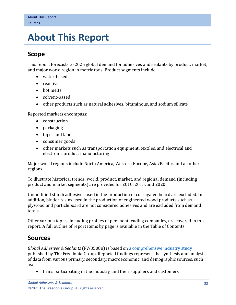## <span id="page-3-0"></span>**5. About This Report**

## <span id="page-3-1"></span>**Scope**

This report forecasts to 2025 global demand for adhesives and sealants by product, market, and major world region in metric tons. Product segments include:

- water-based
- reactive
- hot melts
- solvent-based
- other products such as natural adhesives, bituminous, and sodium silicate

Reported markets encompass:

- construction
- packaging
- tapes and labels
- consumer goods
- other markets such as transportation equipment, textiles, and electrical and electronic product manufacturing

Major world regions include North America, Western Europe, Asia/Pacific, and all other regions.

To illustrate historical trends, world, product, market, and regional demand (including product and market segments) are provided for 2010, 2015, and 2020.

Unmodified starch adhesives used in the production of corrugated board are excluded. In addition, binder resins used in the production of engineered wood products such as plywood and particleboard are not considered adhesives and are excluded from demand totals.

Other various topics, including profiles of pertinent leading companies, are covered in this report. A full outline of report items by page is available in the Table of Contents.

## <span id="page-3-2"></span>**Sources**

*Global Adhesives & Sealants* (FW35088) is based on [a comprehensive industry study](http://www.freedoniagroup.com/DocumentDetails.aspx?ReferrerId=FL-FOCUS&studyid=4301) published by The Freedonia Group. Reported findings represent the synthesis and analysis of data from various primary, secondary, macroeconomic, and demographic sources, such as:

• firms participating in the industry, and their suppliers and customers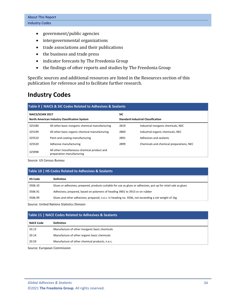- government/public agencies
- intergovernmental organizations
- trade associations and their publications
- the business and trade press
- indicator forecasts by The Freedonia Group
- the findings of other reports and studies by The Freedonia Group

Specific sources and additional resources are listed in the Resources section of this publication for reference and to facilitate further research.

## <span id="page-4-0"></span>**Industry Codes**

<span id="page-4-1"></span>

| Table 9   NAICS & SIC Codes Related to Adhesives & Sealants |                                                                           |                                           |                                          |  |  |  |
|-------------------------------------------------------------|---------------------------------------------------------------------------|-------------------------------------------|------------------------------------------|--|--|--|
| <b>NAICS/SCIAN 2017</b>                                     |                                                                           | <b>SIC</b>                                |                                          |  |  |  |
| North American Industry Classification System               |                                                                           | <b>Standard Industrial Classification</b> |                                          |  |  |  |
| 325180                                                      | All other basic inorganic chemical manufacturing                          | 2819                                      | Industrial inorganic chemicals, NEC      |  |  |  |
| 325199                                                      | All other basic organic chemical manufacturing                            | 2869                                      | Industrial organic chemicals, NEC        |  |  |  |
| 325510                                                      | Paint and coating manufacturing                                           | 2891                                      | Adhesives and sealants                   |  |  |  |
| 325520                                                      | Adhesive manufacturing                                                    | 2899                                      | Chemicals and chemical preparations, NEC |  |  |  |
| 325998                                                      | All other miscellaneous chemical product and<br>preparation manufacturing |                                           |                                          |  |  |  |

Source: US Census Bureau

<span id="page-4-2"></span>

| Table 10   HS Codes Related to Adhesives & Sealants |                                                                                                                |  |  |  |
|-----------------------------------------------------|----------------------------------------------------------------------------------------------------------------|--|--|--|
| <b>HS Code</b>                                      | <b>Definition</b>                                                                                              |  |  |  |
| 3506.10                                             | Glues or adhesives; prepared, products suitable for use as glues or adhesives, put up for retail sale as glues |  |  |  |
| 3506.91                                             | Adhesives; prepared, based on polymers of heading 3901 to 3913 or on rubber                                    |  |  |  |
| 3506.99                                             | Glues and other adhesives; prepared, n.e.c. in heading no. 3506, not exceeding a net weight of 1kg             |  |  |  |

Source: United Nations Statistics Division

<span id="page-4-3"></span>

| Table 11   NACE Codes Related to Adhesives & Sealants |                                                |  |  |  |  |
|-------------------------------------------------------|------------------------------------------------|--|--|--|--|
| <b>NACE Code</b>                                      | <b>Definition</b>                              |  |  |  |  |
| 20.13                                                 | Manufacture of other inorganic basic chemicals |  |  |  |  |
| 20.14                                                 | Manufacture of other organic basic chemicals   |  |  |  |  |
| 20.59                                                 | Manufacture of other chemical products, n.e.c. |  |  |  |  |

Source: European Commission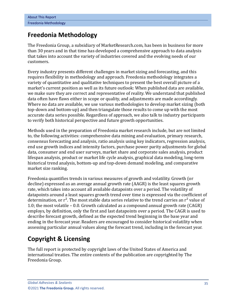## <span id="page-5-0"></span>**Freedonia Methodology**

The Freedonia Group, a subsidiary of MarketResearch.com, has been in business for more than 30 years and in that time has developed a comprehensive approach to data analysis that takes into account the variety of industries covered and the evolving needs of our customers.

Every industry presents different challenges in market sizing and forecasting, and this requires flexibility in methodology and approach. Freedonia methodology integrates a variety of quantitative and qualitative techniques to present the best overall picture of a market's current position as well as its future outlook: When published data are available, we make sure they are correct and representative of reality. We understand that published data often have flaws either in scope or quality, and adjustments are made accordingly. Where no data are available, we use various methodologies to develop market sizing (both top-down and bottom-up) and then triangulate those results to come up with the most accurate data series possible. Regardless of approach, we also talk to industry participants to verify both historical perspective and future growth opportunities.

Methods used in the preparation of Freedonia market research include, but are not limited to, the following activities: comprehensive data mining and evaluation, primary research, consensus forecasting and analysis, ratio analysis using key indicators, regression analysis, end use growth indices and intensity factors, purchase power parity adjustments for global data, consumer and end user surveys, market share and corporate sales analysis, product lifespan analysis, product or market life cycle analysis, graphical data modeling, long-term historical trend analysis, bottom-up and top-down demand modeling, and comparative market size ranking.

Freedonia quantifies trends in various measures of growth and volatility. Growth (or decline) expressed as an average annual growth rate (AAGR) is the least squares growth rate, which takes into account all available datapoints over a period. The volatility of datapoints around a least squares growth trend over time is expressed via the coefficient of determination, or  $r^2$ . The most stable data series relative to the trend carries an  $r^2$  value of 1.0; the most volatile – 0.0. Growth calculated as a compound annual growth rate (CAGR) employs, by definition, only the first and last datapoints over a period. The CAGR is used to describe forecast growth, defined as the expected trend beginning in the base year and ending in the forecast year. Readers are encouraged to consider historical volatility when assessing particular annual values along the forecast trend, including in the forecast year.

## **Copyright & Licensing**

The full report is protected by copyright laws of the United States of America and international treaties. The entire contents of the publication are copyrighted by The Freedonia Group.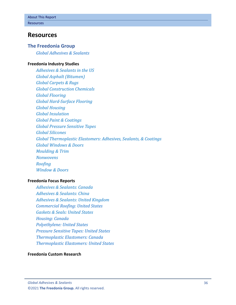## <span id="page-6-0"></span>**Resources**

#### **The Freedonia Group**

*[Global Adhesives & Sealants](http://www.freedoniagroup.com/DocumentDetails.aspx?ReferrerId=FL-FOCUS&studyid=4301)*

#### **[Freedonia Industry Studies](http://www.freedoniagroup.com/Home.aspx?ReferrerId=FL-Focus)**

*[Adhesives & Sealants in the US](https://www.freedoniagroup.com/DocumentDetails.aspx?ReferrerId=FL-FOCUS&StudyId=3623) [Global Asphalt \(Bitumen\)](https://www.freedoniagroup.com/DocumentDetails.aspx?ReferrerId=FL-FOCUS&StudyId=3846) [Global Carpets & Rugs](https://www.freedoniagroup.com/DocumentDetails.aspx?ReferrerId=FL-FOCUS&StudyId=4157) [Global Construction Chemicals](https://www.freedoniagroup.com/DocumentDetails.aspx?ReferrerId=FL-FOCUS&StudyId=3769) [Global Flooring](https://www.freedoniagroup.com/DocumentDetails.aspx?ReferrerId=FL-FOCUS&StudyId=4042) [Global Hard-Surface Flooring](https://www.freedoniagroup.com/DocumentDetails.aspx?ReferrerId=FL-FOCUS&StudyId=4156) [Global Housing](https://www.freedoniagroup.com/DocumentDetails.aspx?ReferrerId=FL-FOCUS&StudyId=3877) [Global Insulation](https://www.freedoniagroup.com/DocumentDetails.aspx?ReferrerId=FL-FOCUS&StudyId=4267) [Global Paint & Coatings](https://www.freedoniagroup.com/DocumentDetails.aspx?ReferrerId=FL-FOCUS&StudyId=4043) [Global Pressure Sensitive Tapes](https://www.freedoniagroup.com/DocumentDetails.aspx?ReferrerId=FL-FOCUS&StudyId=4145) [Global Silicones](https://www.freedoniagroup.com/DocumentDetails.aspx?ReferrerId=FL-FOCUS&StudyId=4281) [Global Thermoplastic Elastomers: Adhesives, Sealants, & Coatings](https://www.freedoniagroup.com/DocumentDetails.aspx?ReferrerId=FL-FOCUS&StudyId=4022) [Global Windows & Doors](https://www.freedoniagroup.com/DocumentDetails.aspx?ReferrerId=FL-FOCUS&StudyId=4303) [Moulding & Trim](https://www.freedoniagroup.com/DocumentDetails.aspx?ReferrerId=FL-FOCUS&StudyId=3815) [Nonwovens](https://www.freedoniagroup.com/DocumentDetails.aspx?ReferrerId=FL-FOCUS&StudyId=3858) [Roofing](https://www.freedoniagroup.com/DocumentDetails.aspx?ReferrerId=FL-FOCUS&StudyId=4216) [Window & Doors](https://www.freedoniagroup.com/DocumentDetails.aspx?ReferrerId=FL-FOCUS&StudyId=4153)*

#### **[Freedonia Focus Reports](https://www.freedoniafocusreports.com/redirect.asp?progid=89534&url=/)**

*[Adhesives & Sealants: Canada](https://www.freedoniafocusreports.com/Adhesives-Sealants-Canada-FA35088/?progid=89534) [Adhesives & Sealants: China](https://www.freedoniafocusreports.com/Adhesives-Sealants-China-FC35088/?progid=89534) [Adhesives & Sealants: United Kingdom](https://www.freedoniafocusreports.com/Adhesives-Sealants-United-Kingdom-FB35088/?progid=89534) [Commercial Roofing: United States](https://www.freedoniafocusreports.com/Commercial-Roofing-United-States-FF60091/?progid=89534) [Gaskets & Seals: United States](https://www.freedoniafocusreports.com/Gaskets-Seals-United-States-FF50012/?progid=89534) [Housing: Canada](https://www.freedoniafocusreports.com/Housing-Canada-FA60024/?progid=89534) [Polyethylene: United States](https://www.freedoniafocusreports.com/Polyethylene-United-States-FF55017/?progid=89534) [Pressure Sensitive Tapes: United States](https://www.freedoniafocusreports.com/Pressure-Sensitive-Tapes-United-States-FF30022/?progid=89534) [Thermoplastic Elastomers: Canada](https://www.freedoniafocusreports.com/Thermoplastic-Elastomers-Canada-FA50015/?progid=89534) [Thermoplastic Elastomers: United States](https://www.freedoniafocusreports.com/Thermoplastic-Elastomers-United-States-FF50015/?progid=89534)*

#### **[Freedonia Custom Research](http://www.freedoniagroup.com/CustomResearch.aspx?ReferrerId=FL-Focus)**